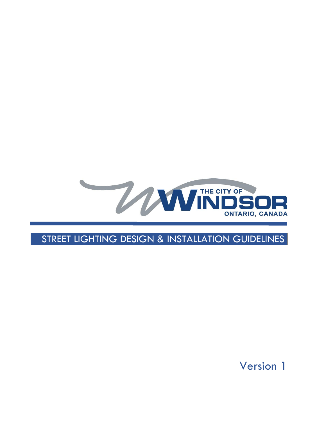

# STREET LIGHTING DESIGN & INSTALLATION GUIDELINES

Version 1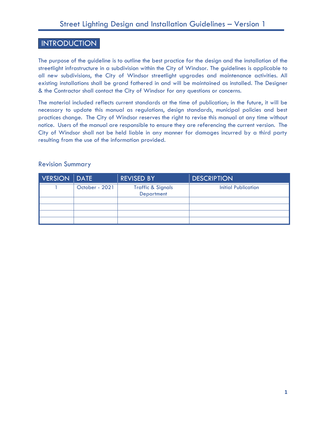# INTRODUCTION

The purpose of the guideline is to outline the best practice for the design and the installation of the streetlight infrastructure in a subdivision within the City of Windsor. The guidelines is applicable to all new subdivisions, the City of Windsor streetlight upgrades and maintenance activities. All existing installations shall be grand fathered in and will be maintained as installed. The Designer & the Contractor shall contact the City of Windsor for any questions or concerns.

The material included reflects current standards at the time of publication; in the future, it will be necessary to update this manual as regulations, design standards, municipal policies and best practices change. The City of Windsor reserves the right to revise this manual at any time without notice. Users of the manual are responsible to ensure they are referencing the current version. The City of Windsor shall not be held liable in any manner for damages incurred by a third party resulting from the use of the information provided.

#### Revision Summary

| VERSION DATE |                | <b>REVISED BY</b>                                 | <b>DESCRIPTION</b>  |
|--------------|----------------|---------------------------------------------------|---------------------|
|              | October - 2021 | <b>Traffic &amp; Signals</b><br><b>Department</b> | Initial Publication |
|              |                |                                                   |                     |
|              |                |                                                   |                     |
|              |                |                                                   |                     |
|              |                |                                                   |                     |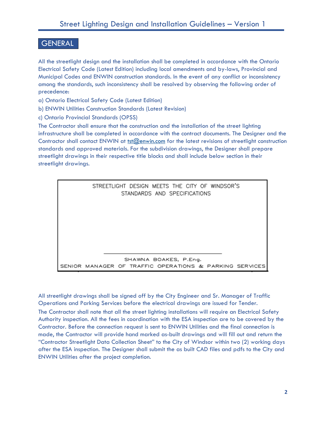# GENERAL

All the streetlight design and the installation shall be completed in accordance with the Ontario Electrical Safety Code (Latest Edition) including local amendments and by-laws, Provincial and Municipal Codes and ENWIN construction standards. In the event of any conflict or inconsistency among the standards, such inconsistency shall be resolved by observing the following order of precedence:

- a) Ontario Electrical Safety Code (Latest Edition)
- b) ENWIN Utilities Construction Standards (Latest Revision)
- c) Ontario Provincial Standards (OPSS)

The Contractor shall ensure that the construction and the installation of the street lighting infrastructure shall be completed in accordance with the contract documents. The Designer and the Contractor shall contact ENWIN at [tst@enwin.com](mailto:tst@enwin.com) for the latest revisions of streetlight construction standards and approved materials. For the subdivision drawings, the Designer shall prepare streetlight drawings in their respective title blocks and shall include below section in their streetlight drawings.



All streetlight drawings shall be signed off by the City Engineer and Sr. Manager of Traffic Operations and Parking Services before the electrical drawings are issued for Tender. The Contractor shall note that all the street lighting installations will require an Electrical Safety Authority inspection. All the fees in coordination with the ESA inspection are to be covered by the Contractor. Before the connection request is sent to ENWIN Utilities and the final connection is made, the Contractor will provide hand marked as-built drawings and will fill out and return the "Contractor Streetlight Data Collection Sheet" to the City of Windsor within two (2) working days after the ESA inspection. The Designer shall submit the as built CAD files and pdfs to the City and ENWIN Utilities after the project completion.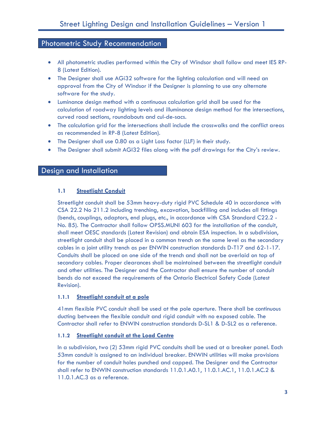### Photometric Study Recommendation

- All photometric studies performed within the City of Windsor shall follow and meet IES RP-8 (Latest Edition).
- The Designer shall use AGi32 software for the lighting calculation and will need an approval from the City of Windsor if the Designer is planning to use any alternate software for the study.
- Luminance design method with a continuous calculation grid shall be used for the calculation of roadway lighting levels and illuminance design method for the intersections, curved road sections, roundabouts and cul-de-sacs.
- The calculation grid for the intersections shall include the crosswalks and the conflict areas as recommended in RP-8 (Latest Edition).
- The Designer shall use 0.80 as a Light Loss factor (LLF) in their study.
- The Designer shall submit AGI32 files along with the pdf drawings for the City's review.

## Design and Installation

#### **1.1 Streetlight Conduit**

Streetlight conduit shall be 53mm heavy-duty rigid PVC Schedule 40 in accordance with CSA 22.2 No 211.2 including trenching, excavation, backfilling and includes all fittings (bends, couplings, adaptors, end plugs, etc., in accordance with CSA Standard C22.2 - No. 85). The Contractor shall follow OPSS.MUNI 603 for the installation of the conduit, shall meet OESC standards (Latest Revision) and obtain ESA inspection. In a subdivision, streetlight conduit shall be placed in a common trench on the same level as the secondary cables in a joint utility trench as per ENWIN construction standards D-T17 and 62-1-17. Conduits shall be placed on one side of the trench and shall not be overlaid on top of secondary cables. Proper clearances shall be maintained between the streetlight conduit and other utilities. The Designer and the Contractor shall ensure the number of conduit bends do not exceed the requirements of the Ontario Electrical Safety Code (Latest Revision).

#### **1.1.1 Streetlight conduit at a pole**

41mm flexible PVC conduit shall be used at the pole aperture. There shall be continuous ducting between the flexible conduit and rigid conduit with no exposed cable. The Contractor shall refer to ENWIN construction standards D-SL1 & D-SL2 as a reference.

#### **1.1.2 Streetlight conduit at the Load Centre**

In a subdivision, two (2) 53mm rigid PVC conduits shall be used at a breaker panel. Each 53mm conduit is assigned to an individual breaker. ENWIN utilities will make provisions for the number of conduit holes punched and capped. The Designer and the Contractor shall refer to ENWIN construction standards 11.0.1.A0.1, 11.0.1.AC.1, 11.0.1.AC.2 & 11.0.1.AC.3 as a reference.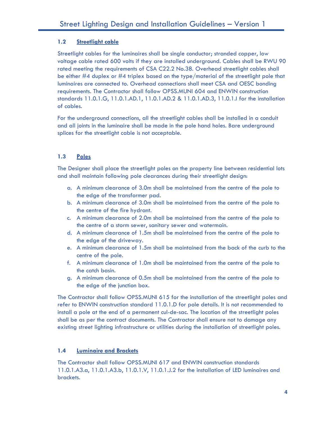#### **1.2 Streetlight cable**

Streetlight cables for the luminaires shall be single conductor; stranded copper, low voltage cable rated 600 volts if they are installed underground. Cables shall be RWU 90 rated meeting the requirements of CSA C22.2 No.38. Overhead streetlight cables shall be either #4 duplex or #4 triplex based on the type/material of the streetlight pole that luminaires are connected to. Overhead connections shall meet CSA and OESC bonding requirements. The Contractor shall follow OPSS.MUNI 604 and ENWIN construction standards 11.0.1.G, 11.0.1.AD.1, 11.0.1.AD.2 & 11.0.1.AD.3, 11.0.1.I for the installation of cables.

For the underground connections, all the streetlight cables shall be installed in a conduit and all joints in the luminaire shall be made in the pole hand holes. Bare underground splices for the streetlight cable is not acceptable.

### **1.3 Poles**

The Designer shall place the streetlight poles on the property line between residential lots and shall maintain following pole clearances during their streetlight design:

- a. A minimum clearance of 3.0m shall be maintained from the centre of the pole to the edge of the transformer pad.
- b. A minimum clearance of 3.0m shall be maintained from the centre of the pole to the centre of the fire hydrant.
- c. A minimum clearance of 2.0m shall be maintained from the centre of the pole to the centre of a storm sewer, sanitary sewer and watermain.
- d. A minimum clearance of 1.5m shall be maintained from the centre of the pole to the edge of the driveway.
- e. A minimum clearance of 1.5m shall be maintained from the back of the curb to the centre of the pole.
- f. A minimum clearance of 1.0m shall be maintained from the centre of the pole to the catch basin.
- g. A minimum clearance of 0.5m shall be maintained from the centre of the pole to the edge of the junction box.

The Contractor shall follow OPSS.MUNI 615 for the installation of the streetlight poles and refer to ENWIN construction standard 11.0.1.D for pole details. It is not recommended to install a pole at the end of a permanent cul-de-sac. The location of the streetlight poles shall be as per the contract documents. The Contractor shall ensure not to damage any existing street lighting infrastructure or utilities during the installation of streetlight poles.

#### **1.4 Luminaire and Brackets**

The Contractor shall follow OPSS.MUNI 617 and ENWIN construction standards 11.0.1.A3.a, 11.0.1.A3.b, 11.0.1.V, 11.0.1.J.2 for the installation of LED luminaires and brackets.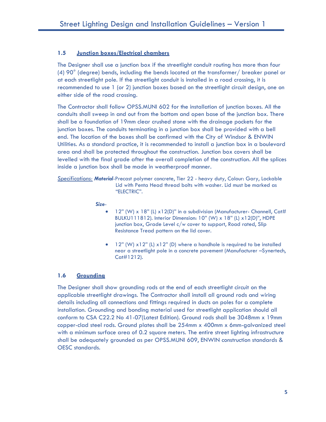#### **1.5 Junction boxes/Electrical chambers**

The Designer shall use a junction box if the streetlight conduit routing has more than four (4) 90° (degree) bends, including the bends located at the transformer/ breaker panel or at each streetlight pole. If the streetlight conduit is installed in a road crossing, it is recommended to use 1 (or 2) junction boxes based on the streetlight circuit design, one on either side of the road crossing.

The Contractor shall follow OPSS.MUNI 602 for the installation of junction boxes. All the conduits shall sweep in and out from the bottom and open base of the junction box. There shall be a foundation of 19mm clear crushed stone with the drainage pockets for the junction boxes. The conduits terminating in a junction box shall be provided with a bell end. The location of the boxes shall be confirmed with the City of Windsor & ENWIN Utilities. As a standard practice, it is recommended to install a junction box in a boulevard area and shall be protected throughout the construction. Junction box covers shall be levelled with the final grade after the overall completion of the construction. All the splices inside a junction box shall be made in weatherproof manner.

*Specifications: Material*-Precast polymer concrete, Tier 22 - heavy duty, Colour: Gary, Lockable Lid with Penta Head thread bolts with washer. Lid must be marked as "ELECTRIC".

*Size-*

- $\bullet$  12" (W) x 18" (L) x12(D)" in a subdivision (Manufacturer- Channell, Cat# BULKU111812). Interior Dimension: 10" (W) x 18" (L) x12(D)", HDPE junction box, Grade Level c/w cover to support, Road rated, Slip Resistance Tread pattern on the lid cover.
- $\bullet$  12" (W) x12" (L) x12" (D) where a handhole is required to be installed near a streetlight pole in a concrete pavement (Manufacturer –Synertech, Cat#1212).

#### **1.6 Grounding**

The Designer shall show grounding rods at the end of each streetlight circuit on the applicable streetlight drawings. The Contractor shall install all ground rods and wiring details including all connections and fittings required in ducts on poles for a complete installation. Grounding and bonding material used for streetlight application should all conform to CSA C22.2 No 41-07(Latest Edition). Ground rods shall be 3048mm x 19mm copper-clad steel rods. Ground plates shall be 254mm x 400mm x 6mm-galvanized steel with a minimum surface area of 0.2 square meters. The entire street lighting infrastructure shall be adequately grounded as per OPSS.MUNI 609, ENWIN construction standards & OESC standards.